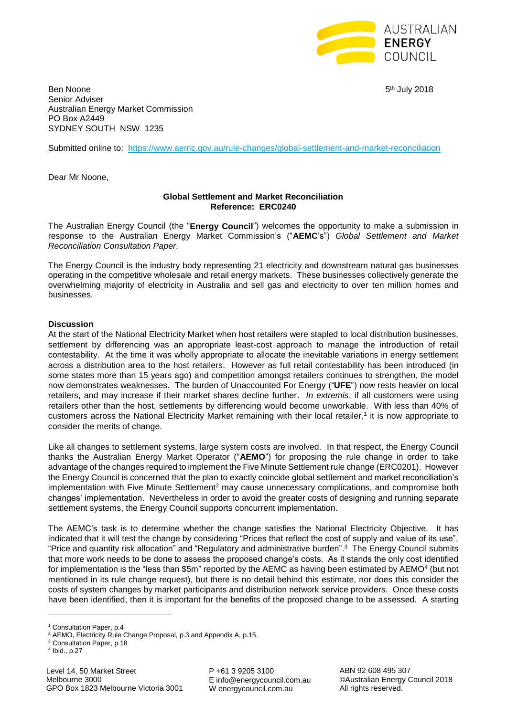

Ben Noone 5 Senior Adviser Australian Energy Market Commission PO Box A2449 SYDNEY SOUTH NSW 1235

5<sup>th</sup> July 2018

Submitted online to: <https://www.aemc.gov.au/rule-changes/global-settlement-and-market-reconciliation>

Dear Mr Noone,

## **Global Settlement and Market Reconciliation Reference: ERC0240**

The Australian Energy Council (the "**Energy Council**") welcomes the opportunity to make a submission in response to the Australian Energy Market Commission's ("**AEMC**'s") *Global Settlement and Market Reconciliation Consultation Paper*.

The Energy Council is the industry body representing 21 electricity and downstream natural gas businesses operating in the competitive wholesale and retail energy markets. These businesses collectively generate the overwhelming majority of electricity in Australia and sell gas and electricity to over ten million homes and businesses.

## **Discussion**

At the start of the National Electricity Market when host retailers were stapled to local distribution businesses, settlement by differencing was an appropriate least-cost approach to manage the introduction of retail contestability. At the time it was wholly appropriate to allocate the inevitable variations in energy settlement across a distribution area to the host retailers. However as full retail contestability has been introduced (in some states more than 15 years ago) and competition amongst retailers continues to strengthen, the model now demonstrates weaknesses. The burden of Unaccounted For Energy ("**UFE**") now rests heavier on local retailers, and may increase if their market shares decline further. *In extremis*, if all customers were using retailers other than the host, settlements by differencing would become unworkable. With less than 40% of customers across the National Electricity Market remaining with their local retailer, 1 it is now appropriate to consider the merits of change.

Like all changes to settlement systems, large system costs are involved. In that respect, the Energy Council thanks the Australian Energy Market Operator ("**AEMO**") for proposing the rule change in order to take advantage of the changes required to implement the Five Minute Settlement rule change (ERC0201). However the Energy Council is concerned that the plan to exactly coincide global settlement and market reconciliation's implementation with Five Minute Settlement<sup>2</sup> may cause unnecessary complications, and compromise both changes' implementation. Nevertheless in order to avoid the greater costs of designing and running separate settlement systems, the Energy Council supports concurrent implementation.

The AEMC's task is to determine whether the change satisfies the National Electricity Objective. It has indicated that it will test the change by considering "Prices that reflect the cost of supply and value of its use", "Price and quantity risk allocation" and "Regulatory and administrative burden". 3 The Energy Council submits that more work needs to be done to assess the proposed change's costs. As it stands the only cost identified for implementation is the "less than \$5m" reported by the AEMC as having been estimated by AEMO<sup>4</sup> (but not mentioned in its rule change request), but there is no detail behind this estimate, nor does this consider the costs of system changes by market participants and distribution network service providers. Once these costs have been identified, then it is important for the benefits of the proposed change to be assessed. A starting

**.** 

P +61 3 9205 3100 E info@energycouncil.com.au W energycouncil.com.au

ABN 92 608 495 307 ©Australian Energy Council 2018 All rights reserved.

<sup>&</sup>lt;sup>1</sup> Consultation Paper, p.4

<sup>2</sup> AEMO, Electricity Rule Change Proposal, p.3 and Appendix A, p.15.

<sup>3</sup> Consultation Paper, p.18

<sup>4</sup> Ibid., p.27